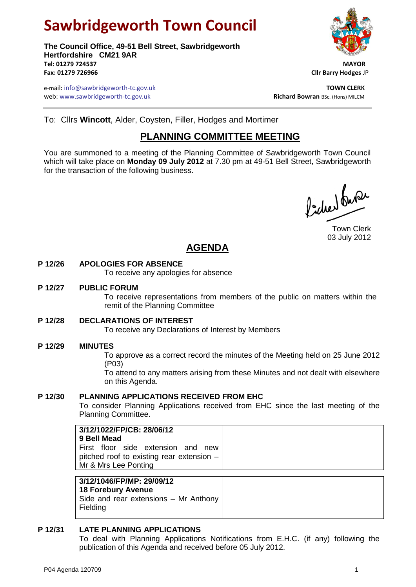# **Sawbridgeworth Town Council**

**The Council Office, 49-51 Bell Street, Sawbridgeworth Hertfordshire CM21 9AR Tel: 01279 724537 MAYOR Fax: 01279 726966 Cllr Barry Hodges** JP

e-mail: info@sawbridgeworth-tc.gov.uk **TOWN CLERK** web: www.sawbridgeworth-tc.gov.uk<br> **Richard Bowran** BSc. (Hons) MILCM

To: Cllrs **Wincott**, Alder, Coysten, Filler, Hodges and Mortimer

### **PLANNING COMMITTEE MEETING**

You are summoned to a meeting of the Planning Committee of Sawbridgeworth Town Council which will take place on **Monday 09 July 2012** at 7.30 pm at 49-51 Bell Street, Sawbridgeworth for the transaction of the following business.

Picked funes

Town Clerk 03 July 2012

## **AGENDA**

#### **P 12/26 APOLOGIES FOR ABSENCE**

To receive any apologies for absence

#### **P 12/27 PUBLIC FORUM**

To receive representations from members of the public on matters within the remit of the Planning Committee

#### **P 12/28 DECLARATIONS OF INTEREST**

To receive any Declarations of Interest by Members

#### **P 12/29 MINUTES**

To approve as a correct record the minutes of the Meeting held on 25 June 2012 (P03)

To attend to any matters arising from these Minutes and not dealt with elsewhere on this Agenda.

#### **P 12/30 PLANNING APPLICATIONS RECEIVED FROM EHC**

To consider Planning Applications received from EHC since the last meeting of the Planning Committee.

#### **P 12/31 LATE PLANNING APPLICATIONS**

Fielding

To deal with Planning Applications Notifications from E.H.C. (if any) following the publication of this Agenda and received before 05 July 2012.